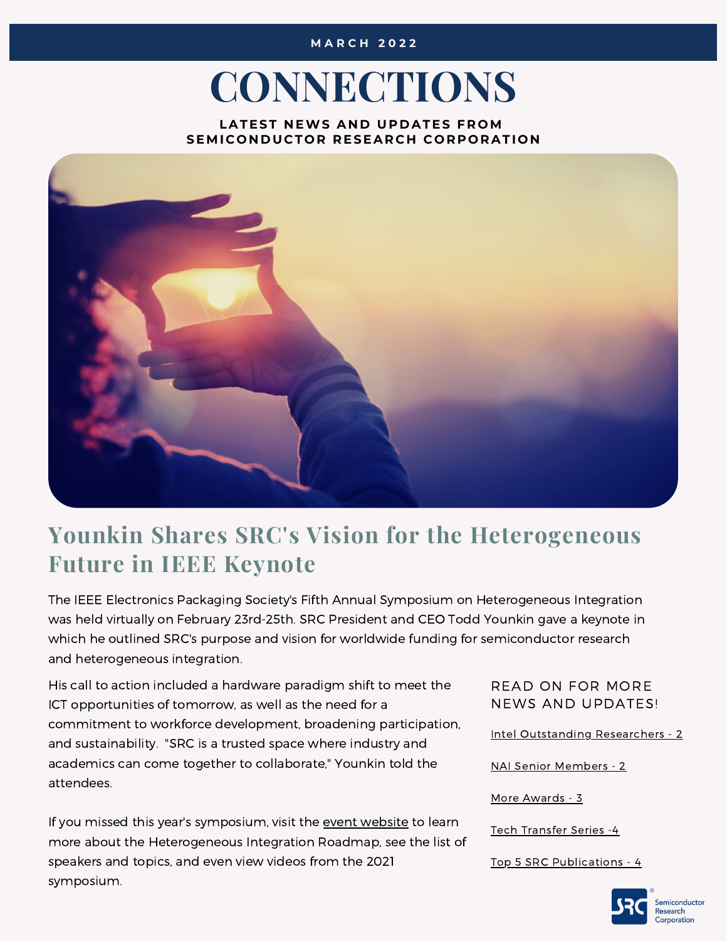#### **M A R C H 2 0 2 2**

# **CONNECTIONS**

**LATEST N EWS A N D UP D ATES F R OM SEMI C O N D UC T O R R ESEAR C H C O R P O RATI O N**



#### **Younkin Shares SRC's Vision for the Heterogeneous Future in IEEE Keynote**

The IEEE Electronics Packaging Society's Fifth Annual Symposium on Heterogeneous Integration was held virtually on February 23rd-25th. SRC President and CEO Todd Younkin gave a keynote in which he outlined SRC's purpose and vision for worldwide funding for semiconductor research and heterogeneous integration.

His call to action included a hardware paradigm shift to meet the ICT opportunities of tomorrow, as well as the need for a commitment to workforce development, broadening participation, and sustainability. "SRC is a trusted space where industry and academics can come together to collaborate," Younkin told the attendees.

If you missed this year's symposium, visit the event [website](https://eps.ieee.org/publications/enews/february-2022/834-2022-hir-5th-annual-conference.html) to learn more about the Heterogeneous Integration Roadmap, see the list of speakers and topics, and even view videos from the 2021 symposium.

READ ON FOR MORE NEWS AND UPDATES!

Intel [Outstanding](#page-1-0) Researchers - 2

NAI Senior [Members](#page-1-0) - 2

More [Awards](#page-2-0) - 3

Tech [Transfer](#page-3-0) Series -4

Top 5 SRC [Publications](#page-3-0) - 4

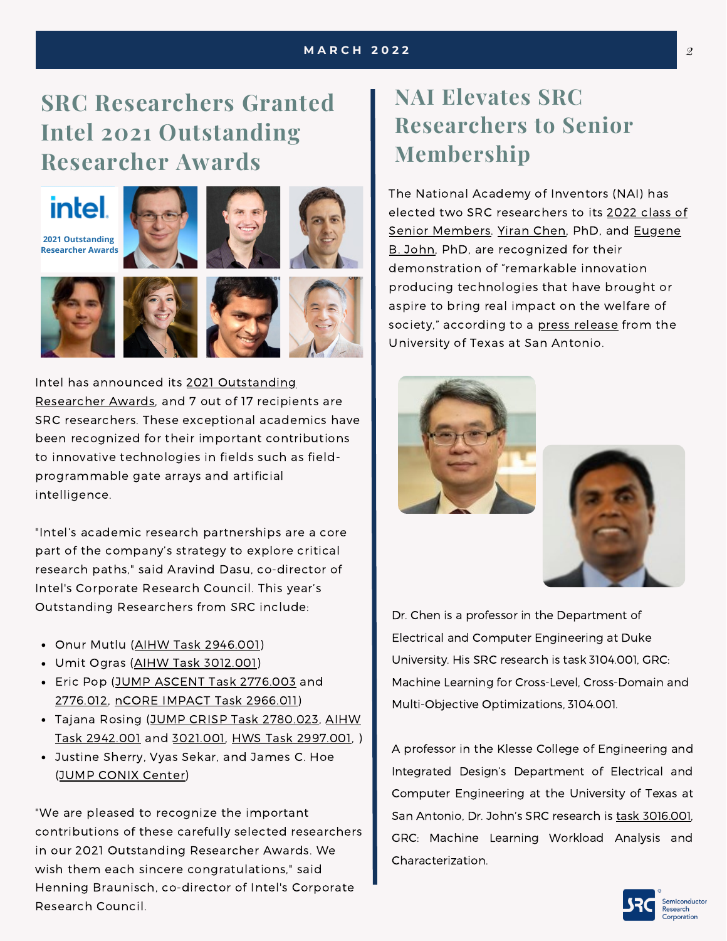## <span id="page-1-0"></span>**SRC Researchers Granted Intel 2021 Outstanding Researcher Awards**

## **intel**

**2021 Outstanding Researcher Awards**









Intel has announced its 2021 [Outstanding](https://www.intel.com/content/www/us/en/research/blogs/outstanding-researcher-award-2021.html) Researcher Awards, and 7 out of 17 recipients are SRC researchers. These exceptional academics have been recognized for their important contributions to innovative technologies in fields such as fieldprogrammable gate arrays and artificial intelligence.

"Intel's academic research partnerships are a core part of the company's strategy to explore critical research paths," said Aravind Dasu, co-director of Intel's Corporate Research Council. This year's Outstanding Researchers from SRC include:

- Onur Mutlu (AIHW Task [2946.001](https://www.src.org/library/research-catalog/2946.001/))
- Umit Ogras (AIHW Task [3012.001\)](https://www.src.org/library/research-catalog/3012.001/)
- Eric Pop (JUMP ASCENT Task [2776.003](https://www.src.org/library/research-catalog/2776.003/) and [2776.012](https://www.src.org/library/research-catalog/2776.012/), nCORE IMPACT Task [2966.011](https://www.src.org/library/research-catalog/2966.011/))
- Tajana Rosing (JUMP CRISP Task [2780.023](https://www.src.org/library/research-catalog/2780.023/)[,](https://www.src.org/library/research-catalog/2942.001/) AIHW Task 2942.001 and [3021.001,](https://www.src.org/library/research-catalog/3021.001/) HWS Task [2997.001](https://www.src.org/library/research-catalog/2997.001/), )
- Justine Sherry, Vyas Sekar, and James C. Hoe (JUMP CONIX [Center](https://www.src.org/program/jump/conix/conix-t4/))

"We are pleased to recognize the important contributions of these carefully selected researchers in our 2021 Outstanding Researcher Awards. We wish them each sincere congratulations," said Henning Braunisch, co-director of Intel's Corporate Research Council.

### **NAI Elevates SRC Researchers to Senior Membership**

The National Academy of Inventors (NAI) has elected two SRC [researchers](https://www.prnewswire.com/news-releases/the-national-academy-of-inventors-announces-the-election-of-its-2021-senior-members-301226829.html) to its 2022 class of Senior [Members.](https://ceid.utsa.edu/electrical-computer/team/eugene-john/) Yiran [Chen](https://athena.duke.edu/people/yiran-chen), PhD, and Eugene B. John, PhD, are recognized for their demonstration of "remarkable innovation producing technologies that have brought or aspire to bring real impact on the welfare of society," according to a press [release](https://www.utsa.edu/today/2022/02/story/NAI-senior-members-2022.html) from the University of Texas at San Antonio.





Dr. Chen is a professor in the Department of Electrical and Computer Engineering at Duke University. His SRC research is task 3104.001, GRC: Machine Learning for Cross-Level, Cross-Domain and Multi-Objective Optimizations, 3104.001.

A professor in the Klesse College of Engineering and Integrated Design's Department of Electrical and Computer Engineering at the University of Texas at San Antonio, Dr. John's SRC research is task [3016.001](https://www.src.org/library/research-catalog/3016.001/), GRC: Machine Learning Workload Analysis and Characterization.

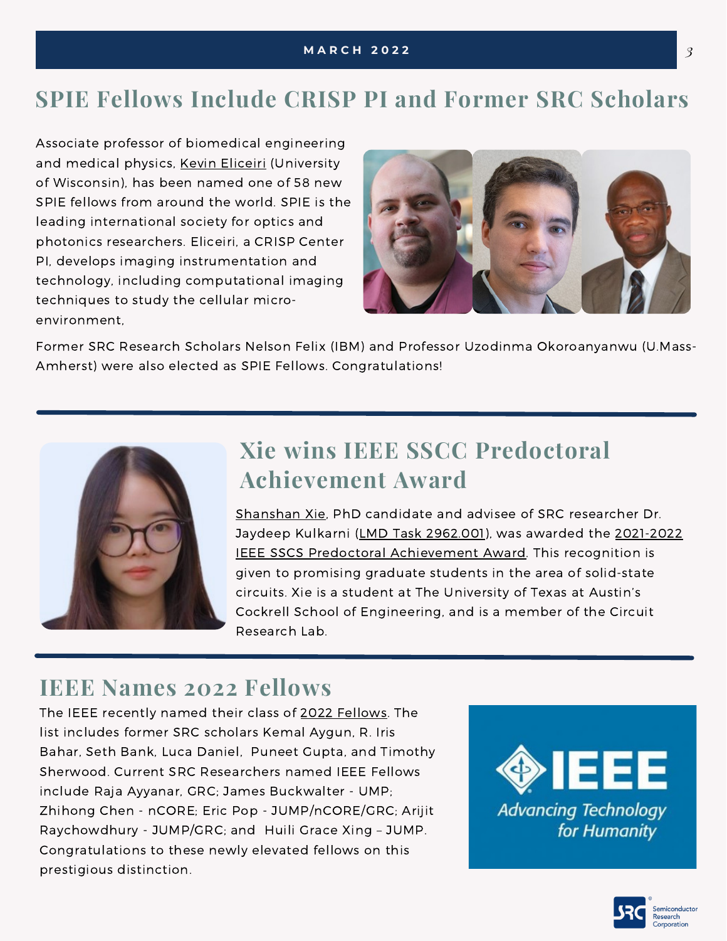## <span id="page-2-0"></span>**[SP](https://awards.acm.org/award_winners/martonosi_4125274)IE [Fellow](https://awards.acm.org/award_winners/martonosi_4125274)s Include CRISP PI and Former SRC Scholars**

Associate professor of biomedical [engineering](https://nam10.safelinks.protection.outlook.com/?url=https%3A%2F%2Fwww.engr.wisc.edu%2Fdepartment%2Fbiomedical-engineering%2F&data=04%7C01%7CLeslie.Faiers%40src.org%7C81f1bb808714432a1f7a08d9f62ea1b5%7C81e892204cc74d078066877256a3986b%7C0%7C0%7C637811502426622236%7CUnknown%7CTWFpbGZsb3d8eyJWIjoiMC4wLjAwMDAiLCJQIjoiV2luMzIiLCJBTiI6Ik1haWwiLCJXVCI6Mn0%3D%7C3000&sdata=dg%2B4QZGb%2BgjYSpyztFH9WqmnmCs0XADwRYLVonb8VgI%3D&reserved=0) and medical physics, Kevin [Eliceiri](https://www.medphysics.wisc.edu/blog/staff/eliceiri-kevin/) (University of Wisconsin), has been named one of 58 new SPIE fellows from around the world. SPIE is the leading international society for optics and photonics researchers. [Eliceiri,](https://nam10.safelinks.protection.outlook.com/?url=https%3A%2F%2Fdirectory.engr.wisc.edu%2Fbme%2FFaculty%2FEliceiri_Kevin%2F&data=04%7C01%7CLeslie.Faiers%40src.org%7C81f1bb808714432a1f7a08d9f62ea1b5%7C81e892204cc74d078066877256a3986b%7C0%7C0%7C637811502426622236%7CUnknown%7CTWFpbGZsb3d8eyJWIjoiMC4wLjAwMDAiLCJQIjoiV2luMzIiLCJBTiI6Ik1haWwiLCJXVCI6Mn0%3D%7C3000&sdata=VtaUfZ8H6ww81b6sWbQ1KyjD%2Fveq5giqDaOi1En840k%3D&reserved=0) a CRISP Center PI, develops imaging [instrumentation](https://nam10.safelinks.protection.outlook.com/?url=https%3A%2F%2Fwww.engr.wisc.edu%2Fnews%2Feliceiri-boosts-imaging-technology-through-collaboration%2F&data=04%7C01%7CLeslie.Faiers%40src.org%7C81f1bb808714432a1f7a08d9f62ea1b5%7C81e892204cc74d078066877256a3986b%7C0%7C0%7C637811502426622236%7CUnknown%7CTWFpbGZsb3d8eyJWIjoiMC4wLjAwMDAiLCJQIjoiV2luMzIiLCJBTiI6Ik1haWwiLCJXVCI6Mn0%3D%7C3000&sdata=PYr5XVB1nvHfEaosI5u8PB9hoLoZa0vtcu23DGP7rdY%3D&reserved=0) and technology, including computational imaging techniques to study the cellular microenvironment,



Former SRC Research Scholars Nelson Felix (IBM) and Professor Uzodinma Okoroanyanwu (U.Mass-Amherst) were also elected as SPIE Fellows. Congratulations!



### **Xie wins IEEE SSCC Predoctoral Achievement Award**

[Shanshan](https://www.src.org/student-center/student-directory/15813/) Xie, PhD candidate and advisee of SRC researcher Dr. Jaydeep Kulkarni (LMD Task [2962.001\)](https://www.src.org/library/research-catalog/2962.001/), was awarded the 2021-2022 IEEE SSCS Predoctoral [Achievement](https://www.ece.utexas.edu/news/shanshan-xie-receives-ieee-sscs-predoctoral-achievement-award) Award. This recognition is given to promising graduate students in the area of solid-state circuits. Xie is a student at The University of Texas at Austin's Cockrell School of Engineering, and is a member of the Circuit Research Lab.

#### **IEEE Names 2022 Fellows**

The IEEE recently named their class of 2022 [Fellows](https://www.ieee.org/membership/fellows/index.html). The list includes former SRC scholars Kemal Aygun, R. Iris Bahar, Seth Bank, Luca Daniel, Puneet Gupta, and Timothy Sherwood. Current SRC Researchers named IEEE Fellows include Raja Ayyanar, GRC; James Buckwalter - UMP; Zhihong Chen - nCORE; Eric Pop - JUMP/nCORE/GRC; Arijit Raychowdhury - JUMP/GRC; and Huili Grace Xing – JUMP. Congratulations to these newly elevated fellows on this prestigious distinction.